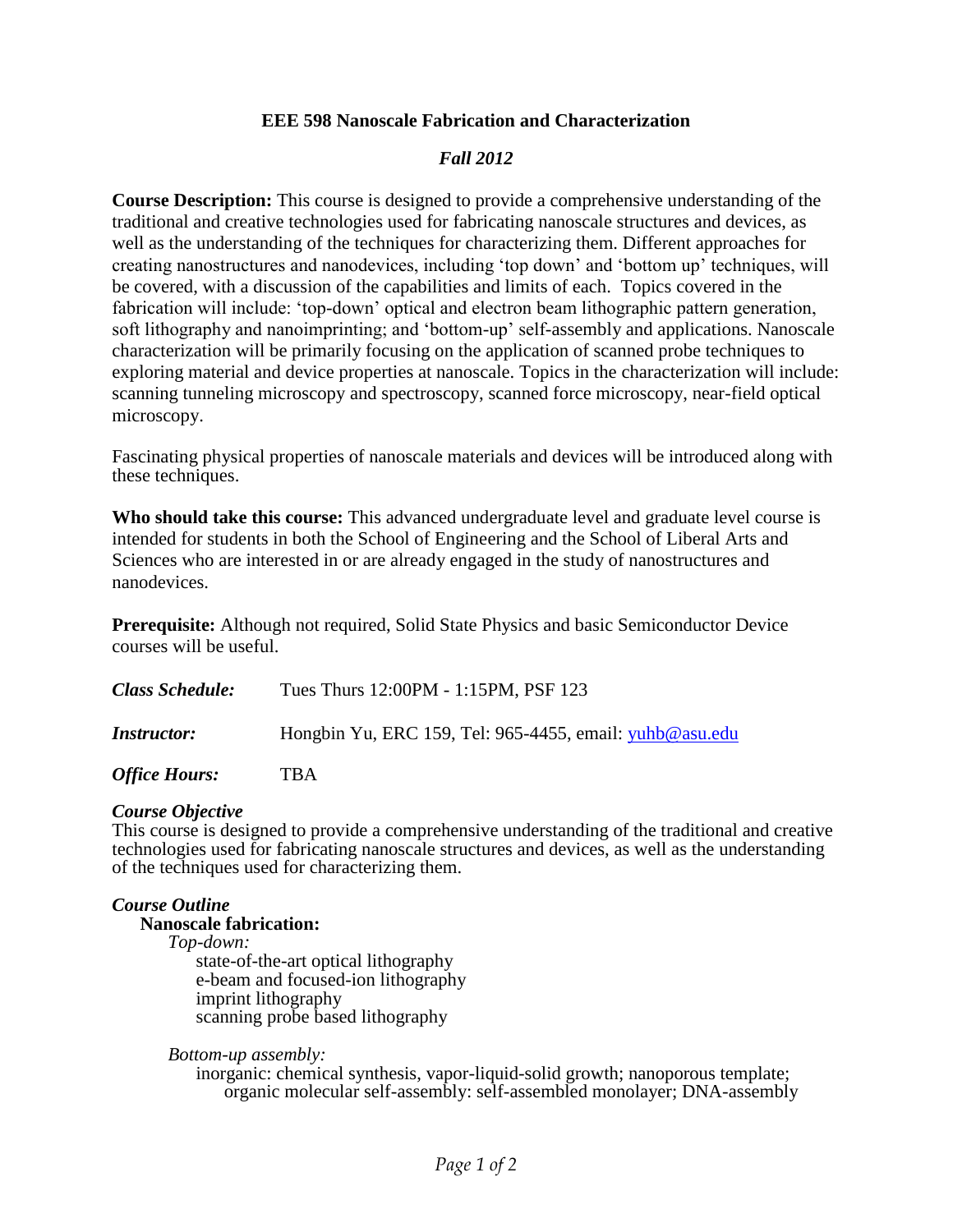## **EEE 598 Nanoscale Fabrication and Characterization**

# *Fall 2012*

**Course Description:** This course is designed to provide a comprehensive understanding of the traditional and creative technologies used for fabricating nanoscale structures and devices, as well as the understanding of the techniques for characterizing them. Different approaches for creating nanostructures and nanodevices, including 'top down' and 'bottom up' techniques, will be covered, with a discussion of the capabilities and limits of each. Topics covered in the fabrication will include: 'top-down' optical and electron beam lithographic pattern generation, soft lithography and nanoimprinting; and 'bottom-up' self-assembly and applications. Nanoscale characterization will be primarily focusing on the application of scanned probe techniques to exploring material and device properties at nanoscale. Topics in the characterization will include: scanning tunneling microscopy and spectroscopy, scanned force microscopy, near-field optical microscopy.

Fascinating physical properties of nanoscale materials and devices will be introduced along with these techniques.

**Who should take this course:** This advanced undergraduate level and graduate level course is intended for students in both the School of Engineering and the School of Liberal Arts and Sciences who are interested in or are already engaged in the study of nanostructures and nanodevices.

**Prerequisite:** Although not required, Solid State Physics and basic Semiconductor Device courses will be useful.

| <b>Class Schedule:</b> | Tues Thurs 12:00PM - 1:15PM, PSF 123                    |
|------------------------|---------------------------------------------------------|
| <i>Instructor:</i>     | Hongbin Yu, ERC 159, Tel: 965-4455, email: yuhb@asu.edu |

*Office Hours:* TBA

### *Course Objective*

This course is designed to provide a comprehensive understanding of the traditional and creative technologies used for fabricating nanoscale structures and devices, as well as the understanding of the techniques used for characterizing them.

## *Course Outline*

# **Nanoscale fabrication:**

*Top-down:* state-of-the-art optical lithography

e-beam and focused-ion lithography imprint lithography scanning probe based lithography

*Bottom-up assembly:* 

inorganic: chemical synthesis, vapor-liquid-solid growth; nanoporous template; organic molecular self-assembly: self-assembled monolayer; DNA-assembly